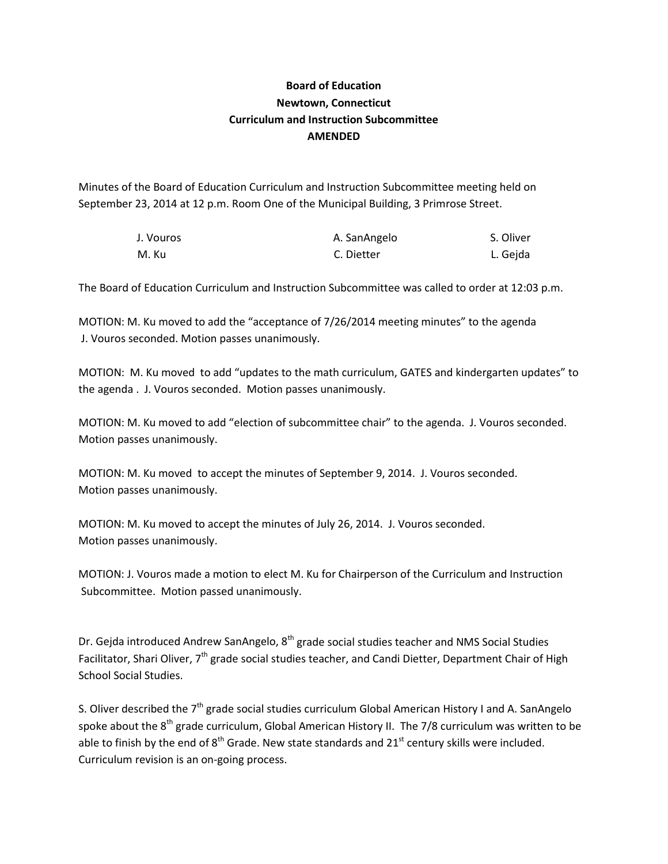## **Board of Education Newtown, Connecticut Curriculum and Instruction Subcommittee AMENDED**

Minutes of the Board of Education Curriculum and Instruction Subcommittee meeting held on September 23, 2014 at 12 p.m. Room One of the Municipal Building, 3 Primrose Street.

| J. Vouros | A. SanAngelo | S. Oliver |
|-----------|--------------|-----------|
| M. Ku     | C. Dietter   | L. Geida  |

The Board of Education Curriculum and Instruction Subcommittee was called to order at 12:03 p.m.

MOTION: M. Ku moved to add the "acceptance of 7/26/2014 meeting minutes" to the agenda J. Vouros seconded. Motion passes unanimously.

MOTION: M. Ku moved to add "updates to the math curriculum, GATES and kindergarten updates" to the agenda . J. Vouros seconded. Motion passes unanimously.

MOTION: M. Ku moved to add "election of subcommittee chair" to the agenda. J. Vouros seconded. Motion passes unanimously.

MOTION: M. Ku moved to accept the minutes of September 9, 2014. J. Vouros seconded. Motion passes unanimously.

MOTION: M. Ku moved to accept the minutes of July 26, 2014. J. Vouros seconded. Motion passes unanimously.

MOTION: J. Vouros made a motion to elect M. Ku for Chairperson of the Curriculum and Instruction Subcommittee. Motion passed unanimously.

Dr. Gejda introduced Andrew SanAngelo, 8<sup>th</sup> grade social studies teacher and NMS Social Studies Facilitator, Shari Oliver, 7<sup>th</sup> grade social studies teacher, and Candi Dietter, Department Chair of High School Social Studies.

S. Oliver described the  $7<sup>th</sup>$  grade social studies curriculum Global American History I and A. SanAngelo spoke about the 8<sup>th</sup> grade curriculum, Global American History II. The 7/8 curriculum was written to be able to finish by the end of  $8<sup>th</sup>$  Grade. New state standards and 21<sup>st</sup> century skills were included. Curriculum revision is an on-going process.